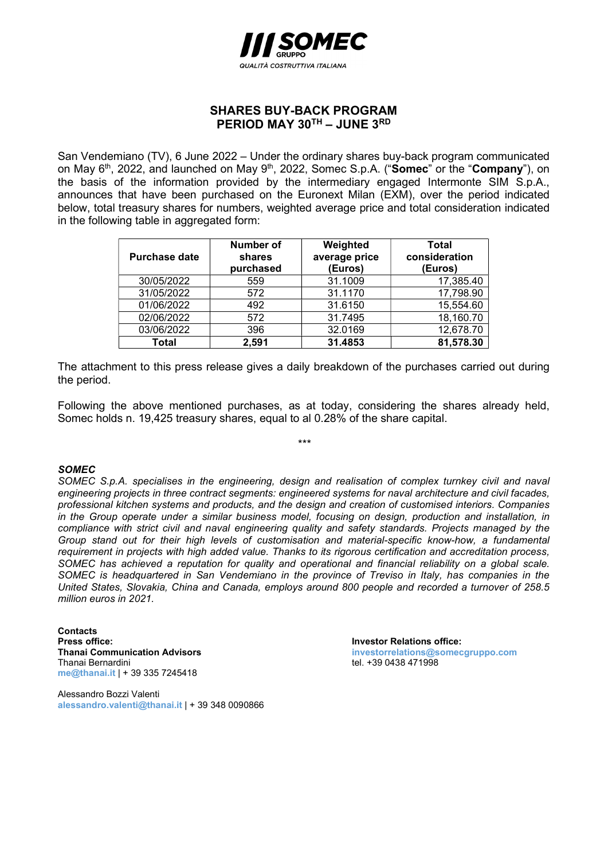

## SHARES BUY-BACK PROGRAM PERIOD MAY 30TH - JUNE 3RD

San Vendemiano (TV), 6 June 2022 – Under the ordinary shares buy-back program communicated on May 6<sup>th</sup>, 2022, and launched on May 9<sup>th</sup>, 2022, Somec S.p.A. ("**Somec**" or the "**Company**"), on the basis of the information provided by the intermediary engaged Intermonte SIM S.p.A., announces that have been purchased on the Euronext Milan (EXM), over the period indicated below, total treasury shares for numbers, weighted average price and total consideration indicated in the following table in aggregated form:

| <b>Purchase date</b> | Number of<br>shares<br>purchased | Weighted<br>average price<br>(Euros) | Total<br>consideration<br>(Euros) |
|----------------------|----------------------------------|--------------------------------------|-----------------------------------|
| 30/05/2022           | 559                              | 31.1009                              | 17,385.40                         |
| 31/05/2022           | 572                              | 31.1170                              | 17,798.90                         |
| 01/06/2022           | 492                              | 31.6150                              | 15,554.60                         |
| 02/06/2022           | 572                              | 31.7495                              | 18,160.70                         |
| 03/06/2022           | 396                              | 32.0169                              | 12,678.70                         |
| Total                | 2,591                            | 31.4853                              | 81,578.30                         |

The attachment to this press release gives a daily breakdown of the purchases carried out during the period.

Following the above mentioned purchases, as at today, considering the shares already held, Somec holds n. 19,425 treasury shares, equal to al 0.28% of the share capital.

\*\*\*

## SOMEC

SOMEC S.p.A. specialises in the engineering, design and realisation of complex turnkey civil and naval engineering projects in three contract segments: engineered systems for naval architecture and civil facades, professional kitchen systems and products, and the design and creation of customised interiors. Companies in the Group operate under a similar business model, focusing on design, production and installation, in compliance with strict civil and naval engineering quality and safety standards. Projects managed by the Group stand out for their high levels of customisation and material-specific know-how, a fundamental requirement in projects with high added value. Thanks to its rigorous certification and accreditation process, SOMEC has achieved a reputation for quality and operational and financial reliability on a global scale. SOMEC is headquartered in San Vendemiano in the province of Treviso in Italy, has companies in the United States, Slovakia, China and Canada, employs around 800 people and recorded a turnover of 258.5 million euros in 2021.

**Contacts** Press office:<br>
Thanai Communication Advisors<br>
Thanai Communication Advisors<br>
Thanai Communication Advisors Thanai Bernardini **tel. +39 0438 471998** me@thanai.it | + 39 335 7245418

Alessandro Bozzi Valenti alessandro.valenti@thanai.it | + 39 348 0090866 investorrelations@somecgruppo.com